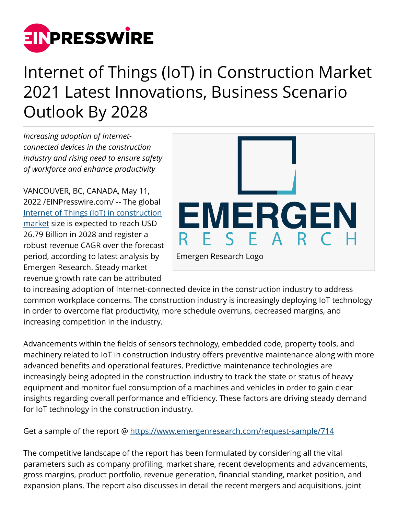

## Internet of Things (IoT) in Construction Market 2021 Latest Innovations, Business Scenario Outlook By 2028

*Increasing adoption of Internetconnected devices in the construction industry and rising need to ensure safety of workforce and enhance productivity*

VANCOUVER, BC, CANADA, May 11, 2022 /[EINPresswire.com](http://www.einpresswire.com)/ -- The global [Internet of Things \(IoT\) in construction](https://www.emergenresearch.com/industry-report/waterproof-bluetooth-speaker-market) [market](https://www.emergenresearch.com/industry-report/waterproof-bluetooth-speaker-market) size is expected to reach USD 26.79 Billion in 2028 and register a robust revenue CAGR over the forecast period, according to latest analysis by Emergen Research. Steady market revenue growth rate can be attributed



to increasing adoption of Internet-connected device in the construction industry to address common workplace concerns. The construction industry is increasingly deploying IoT technology in order to overcome flat productivity, more schedule overruns, decreased margins, and increasing competition in the industry.

Advancements within the fields of sensors technology, embedded code, property tools, and machinery related to IoT in construction industry offers preventive maintenance along with more advanced benefits and operational features. Predictive maintenance technologies are increasingly being adopted in the construction industry to track the state or status of heavy equipment and monitor fuel consumption of a machines and vehicles in order to gain clear insights regarding overall performance and efficiency. These factors are driving steady demand for IoT technology in the construction industry.

Get a sample of the report @<https://www.emergenresearch.com/request-sample/714>

The competitive landscape of the report has been formulated by considering all the vital parameters such as company profiling, market share, recent developments and advancements, gross margins, product portfolio, revenue generation, financial standing, market position, and expansion plans. The report also discusses in detail the recent mergers and acquisitions, joint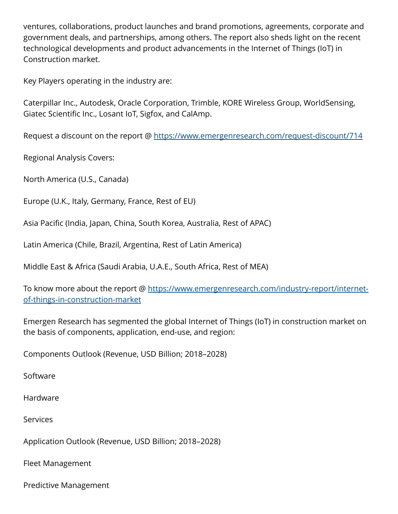ventures, collaborations, product launches and brand promotions, agreements, corporate and government deals, and partnerships, among others. The report also sheds light on the recent technological developments and product advancements in the Internet of Things (IoT) in Construction market.

Key Players operating in the industry are:

Caterpillar Inc., Autodesk, Oracle Corporation, Trimble, KORE Wireless Group, WorldSensing, Giatec Scientific Inc., Losant IoT, Sigfox, and CalAmp.

Request a discount on the report @ <https://www.emergenresearch.com/request-discount/714>

Regional Analysis Covers:

North America (U.S., Canada)

Europe (U.K., Italy, Germany, France, Rest of EU)

Asia Pacific (India, Japan, China, South Korea, Australia, Rest of APAC)

Latin America (Chile, Brazil, Argentina, Rest of Latin America)

Middle East & Africa (Saudi Arabia, U.A.E., South Africa, Rest of MEA)

To know more about the report @ [https://www.emergenresearch.com/industry-report/internet](https://www.emergenresearch.com/industry-report/internet-of-things-in-construction-market)[of-things-in-construction-market](https://www.emergenresearch.com/industry-report/internet-of-things-in-construction-market)

Emergen Research has segmented the global Internet of Things (IoT) in construction market on the basis of components, application, end-use, and region:

Components Outlook (Revenue, USD Billion; 2018–2028)

Software

Hardware

**Services** 

Application Outlook (Revenue, USD Billion; 2018–2028)

Fleet Management

Predictive Management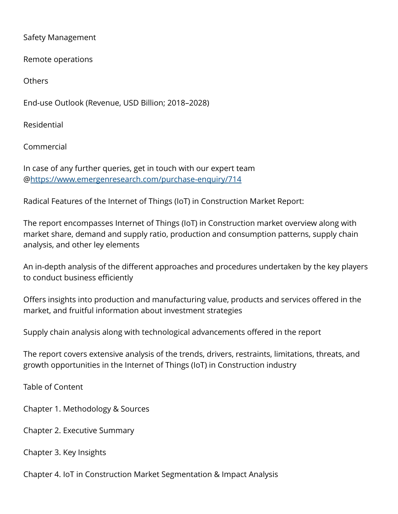Safety Management

Remote operations

**Others** 

End-use Outlook (Revenue, USD Billion; 2018–2028)

Residential

Commercial

In case of any further queries, get in touch with our expert team @<https://www.emergenresearch.com/purchase-enquiry/714>

Radical Features of the Internet of Things (IoT) in Construction Market Report:

The report encompasses Internet of Things (IoT) in Construction market overview along with market share, demand and supply ratio, production and consumption patterns, supply chain analysis, and other ley elements

An in-depth analysis of the different approaches and procedures undertaken by the key players to conduct business efficiently

Offers insights into production and manufacturing value, products and services offered in the market, and fruitful information about investment strategies

Supply chain analysis along with technological advancements offered in the report

The report covers extensive analysis of the trends, drivers, restraints, limitations, threats, and growth opportunities in the Internet of Things (IoT) in Construction industry

Table of Content

Chapter 1. Methodology & Sources

Chapter 2. Executive Summary

Chapter 3. Key Insights

Chapter 4. IoT in Construction Market Segmentation & Impact Analysis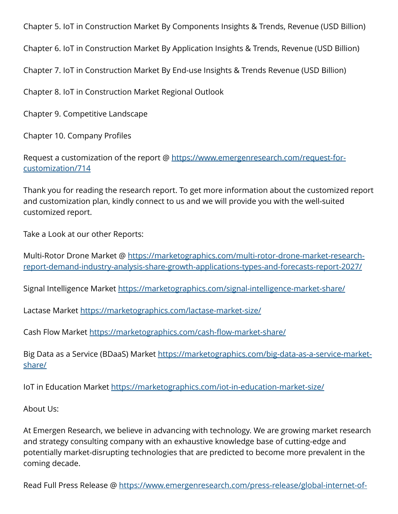Chapter 5. IoT in Construction Market By Components Insights & Trends, Revenue (USD Billion)

Chapter 6. IoT in Construction Market By Application Insights & Trends, Revenue (USD Billion)

Chapter 7. IoT in Construction Market By End-use Insights & Trends Revenue (USD Billion)

Chapter 8. IoT in Construction Market Regional Outlook

Chapter 9. Competitive Landscape

Chapter 10. Company Profiles

Request a customization of the report @ [https://www.emergenresearch.com/request-for](https://www.emergenresearch.com/request-for-customization/714)[customization/714](https://www.emergenresearch.com/request-for-customization/714)

Thank you for reading the research report. To get more information about the customized report and customization plan, kindly connect to us and we will provide you with the well-suited customized report.

Take a Look at our other Reports:

Multi-Rotor Drone Market @ [https://marketographics.com/multi-rotor-drone-market-research](https://marketographics.com/multi-rotor-drone-market-research-report-demand-industry-analysis-share-growth-applications-types-and-forecasts-report-2027/)[report-demand-industry-analysis-share-growth-applications-types-and-forecasts-report-2027/](https://marketographics.com/multi-rotor-drone-market-research-report-demand-industry-analysis-share-growth-applications-types-and-forecasts-report-2027/)

Signal Intelligence Market <https://marketographics.com/signal-intelligence-market-share/>

Lactase Market <https://marketographics.com/lactase-market-size/>

Cash Flow Market <https://marketographics.com/cash-flow-market-share/>

Big Data as a Service (BDaaS) Market [https://marketographics.com/big-data-as-a-service-market](https://marketographics.com/big-data-as-a-service-market-share/)[share/](https://marketographics.com/big-data-as-a-service-market-share/)

IoT in Education Market<https://marketographics.com/iot-in-education-market-size/>

About Us:

At Emergen Research, we believe in advancing with technology. We are growing market research and strategy consulting company with an exhaustive knowledge base of cutting-edge and potentially market-disrupting technologies that are predicted to become more prevalent in the coming decade.

Read Full Press Release @ [https://www.emergenresearch.com/press-release/global-internet-of-](https://www.emergenresearch.com/press-release/global-internet-of-things-in-construction-market)